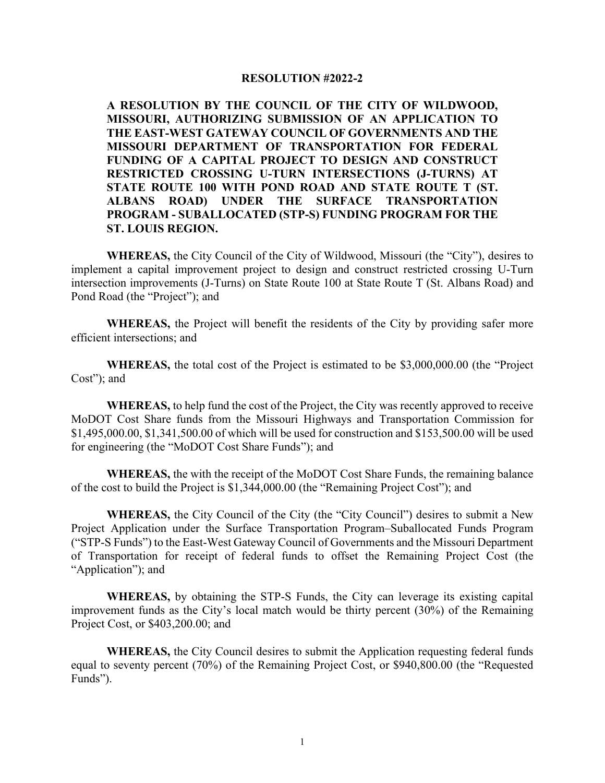## **RESOLUTION #2022-2**

**A RESOLUTION BY THE COUNCIL OF THE CITY OF WILDWOOD, MISSOURI, AUTHORIZING SUBMISSION OF AN APPLICATION TO THE EAST-WEST GATEWAY COUNCIL OF GOVERNMENTS AND THE MISSOURI DEPARTMENT OF TRANSPORTATION FOR FEDERAL FUNDING OF A CAPITAL PROJECT TO DESIGN AND CONSTRUCT RESTRICTED CROSSING U-TURN INTERSECTIONS (J-TURNS) AT STATE ROUTE 100 WITH POND ROAD AND STATE ROUTE T (ST. ALBANS ROAD) UNDER THE SURFACE TRANSPORTATION PROGRAM - SUBALLOCATED (STP-S) FUNDING PROGRAM FOR THE ST. LOUIS REGION.** 

**WHEREAS,** the City Council of the City of Wildwood, Missouri (the "City"), desires to implement a capital improvement project to design and construct restricted crossing U-Turn intersection improvements (J-Turns) on State Route 100 at State Route T (St. Albans Road) and Pond Road (the "Project"); and

**WHEREAS,** the Project will benefit the residents of the City by providing safer more efficient intersections; and

**WHEREAS,** the total cost of the Project is estimated to be \$3,000,000.00 (the "Project Cost"); and

**WHEREAS,** to help fund the cost of the Project, the City was recently approved to receive MoDOT Cost Share funds from the Missouri Highways and Transportation Commission for \$1,495,000.00, \$1,341,500.00 of which will be used for construction and \$153,500.00 will be used for engineering (the "MoDOT Cost Share Funds"); and

**WHEREAS,** the with the receipt of the MoDOT Cost Share Funds, the remaining balance of the cost to build the Project is \$1,344,000.00 (the "Remaining Project Cost"); and

**WHEREAS,** the City Council of the City (the "City Council") desires to submit a New Project Application under the Surface Transportation Program–Suballocated Funds Program ("STP-S Funds") to the East-West Gateway Council of Governments and the Missouri Department of Transportation for receipt of federal funds to offset the Remaining Project Cost (the "Application"); and

**WHEREAS,** by obtaining the STP-S Funds, the City can leverage its existing capital improvement funds as the City's local match would be thirty percent (30%) of the Remaining Project Cost, or \$403,200.00; and

**WHEREAS,** the City Council desires to submit the Application requesting federal funds equal to seventy percent (70%) of the Remaining Project Cost, or \$940,800.00 (the "Requested Funds").